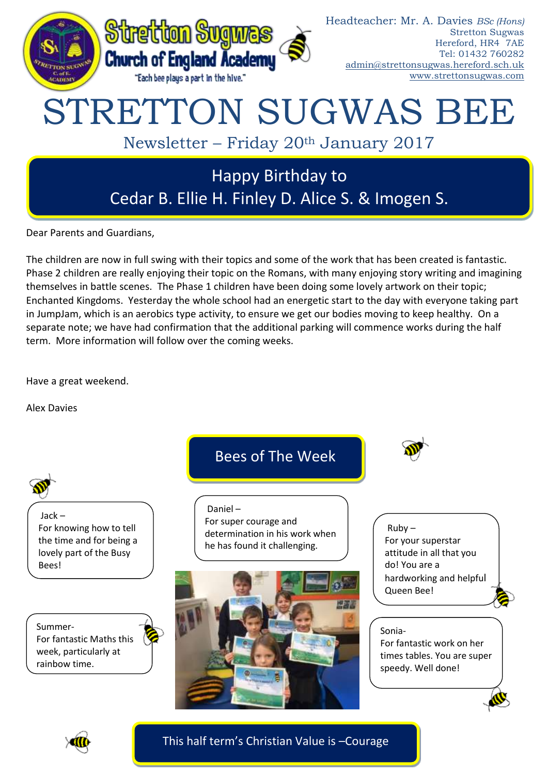

Dear Parents and Guardians,

The children are now in full swing with their topics and some of the work that has been created is fantastic. Phase 2 children are really enjoying their topic on the Romans, with many enjoying story writing and imagining themselves in battle scenes. The Phase 1 children have been doing some lovely artwork on their topic; Enchanted Kingdoms. Yesterday the whole school had an energetic start to the day with everyone taking part in JumpJam, which is an aerobics type activity, to ensure we get our bodies moving to keep healthy. On a separate note; we have had confirmation that the additional parking will commence works during the half term. More information will follow over the coming weeks.

Have a great weekend.

Alex Davies





This half term's Christian Value is –Courage